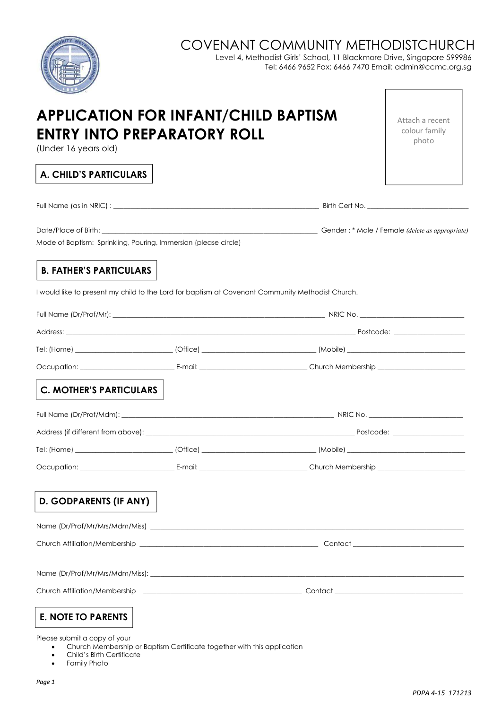## COVENANT COMMUNITY METHODISTCHURCH

Level 4, Methodist Girls' School, 11 Blackmore Drive, Singapore 599986 Tel: 6466 9652 Fax: 6466 7470 Email: admin@ccmc.org.sg

| APPLICATION FOR INFANT/CHILD BAPTISM<br>ENTRY INTO PREPARATORY ROLL<br>(Under 16 years old) |                                                                                                                |  | Attach a recent<br>colour family<br>photo |
|---------------------------------------------------------------------------------------------|----------------------------------------------------------------------------------------------------------------|--|-------------------------------------------|
| <b>A. CHILD'S PARTICULARS</b>                                                               |                                                                                                                |  |                                           |
|                                                                                             |                                                                                                                |  |                                           |
|                                                                                             |                                                                                                                |  |                                           |
| Mode of Baptism: Sprinkling, Pouring, Immersion (please circle)                             |                                                                                                                |  |                                           |
| <b>B. FATHER'S PARTICULARS</b>                                                              |                                                                                                                |  |                                           |
|                                                                                             | I would like to present my child to the Lord for baptism at Covenant Community Methodist Church.               |  |                                           |
|                                                                                             |                                                                                                                |  |                                           |
|                                                                                             |                                                                                                                |  |                                           |
|                                                                                             | Tel: (Home) _______________________________(Office) _____________________________(Mobile) ____________________ |  |                                           |
|                                                                                             |                                                                                                                |  |                                           |
| <b>C. MOTHER'S PARTICULARS</b>                                                              |                                                                                                                |  |                                           |
|                                                                                             |                                                                                                                |  |                                           |
|                                                                                             |                                                                                                                |  |                                           |
|                                                                                             |                                                                                                                |  |                                           |
|                                                                                             |                                                                                                                |  |                                           |
| <b>D. GODPARENTS (IF ANY)</b>                                                               |                                                                                                                |  |                                           |
|                                                                                             |                                                                                                                |  |                                           |
|                                                                                             |                                                                                                                |  |                                           |
|                                                                                             |                                                                                                                |  |                                           |
|                                                                                             |                                                                                                                |  |                                           |
| <b>E. NOTE TO PARENTS</b>                                                                   |                                                                                                                |  |                                           |

**•** Family Photo